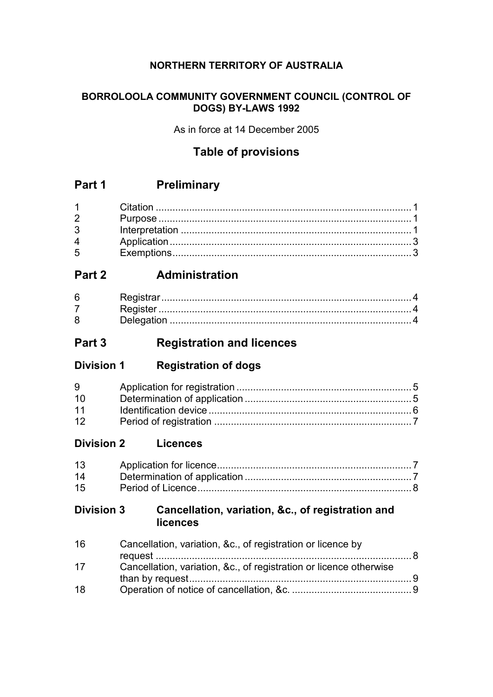## **NORTHERN TERRITORY OF AUSTRALIA**

#### **BORROLOOLA COMMUNITY GOVERNMENT COUNCIL (CONTROL OF DOGS) BY-LAWS 1992**

As in force at 14 December 2005

## **Table of provisions**

## **Part 1 Preliminary**

| $1 \quad \blacksquare$         |  |
|--------------------------------|--|
| $2 \left( \frac{1}{2} \right)$ |  |
| 3 <sup>7</sup>                 |  |
| $\overline{4}$                 |  |
| $5^{\circ}$                    |  |

## **Part 2 Administration**

| 6 |            |  |
|---|------------|--|
|   |            |  |
|   | Deledation |  |

## **Part 3 Registration and licences**

**Division 1 Registration of dogs**

| 9         |  |
|-----------|--|
| $10^{-1}$ |  |
| 11        |  |
| 12        |  |

**Division 2 Licences**

| 13 |  |
|----|--|
| 14 |  |
| 15 |  |

### **Division 3 Cancellation, variation, &c., of registration and licences**

| 16 | Cancellation, variation, &c., of registration or licence by        |  |
|----|--------------------------------------------------------------------|--|
| 17 | Cancellation, variation, &c., of registration or licence otherwise |  |
|    |                                                                    |  |
| 18 |                                                                    |  |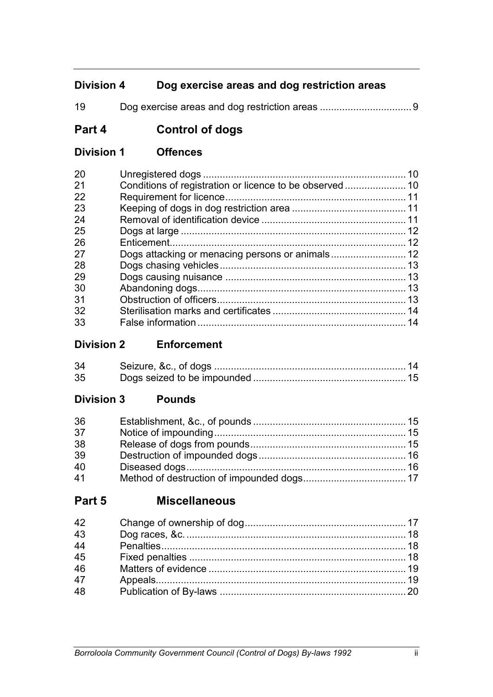## **Division 4 Dog exercise areas and dog restriction areas**

Dog exercise areas and dog restriction areas .................................9

## **Part 4 Control of dogs**

**Division 1 Offences**

| 20  | 10 |
|-----|----|
| 21  |    |
| 22  |    |
| -23 |    |
| -24 |    |
| -25 |    |
| -26 |    |
| -27 |    |
| -28 |    |
| 29  |    |
| 30  |    |
| -31 |    |
| 32  |    |
| 33  |    |

**Division 2 Enforcement**

| 34 |  |
|----|--|
| 35 |  |

## **Division 3 Pounds**

| 36 |  |
|----|--|
| 37 |  |
| 38 |  |
| 39 |  |
| 40 |  |
| 41 |  |

## **Part 5 Miscellaneous**

| 42 |  |
|----|--|
| 43 |  |
| 44 |  |
| 45 |  |
| 46 |  |
| 47 |  |
| 48 |  |
|    |  |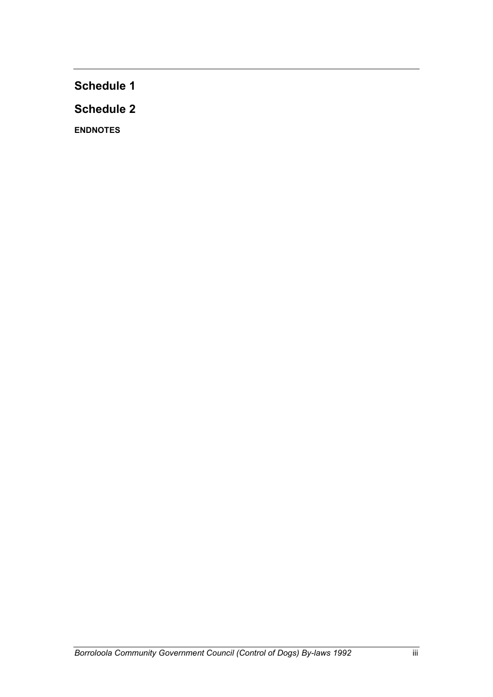**Schedule 1**

**Schedule 2**

**ENDNOTES**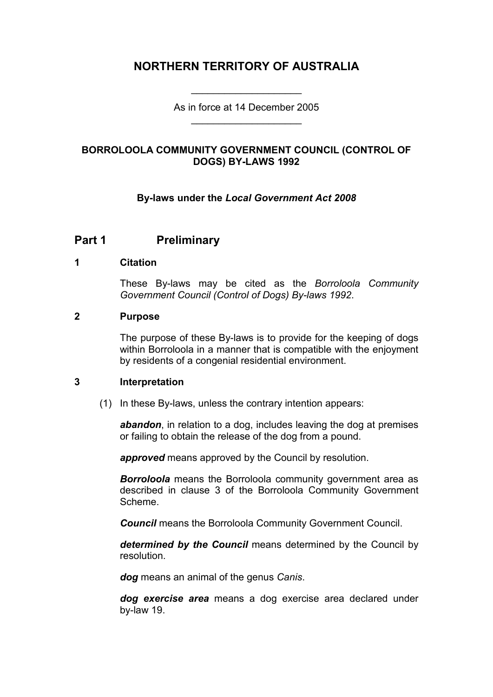## **NORTHERN TERRITORY OF AUSTRALIA**

As in force at 14 December 2005 \_\_\_\_\_\_\_\_\_\_\_\_\_\_\_\_\_\_\_\_

\_\_\_\_\_\_\_\_\_\_\_\_\_\_\_\_\_\_\_\_

#### **BORROLOOLA COMMUNITY GOVERNMENT COUNCIL (CONTROL OF DOGS) BY-LAWS 1992**

#### **By-laws under the** *Local Government Act 2008*

## **Part 1 Preliminary**

#### **1 Citation**

These By-laws may be cited as the *Borroloola Community Government Council (Control of Dogs) By-laws 1992*.

#### **2 Purpose**

The purpose of these By-laws is to provide for the keeping of dogs within Borroloola in a manner that is compatible with the enjoyment by residents of a congenial residential environment.

#### **3 Interpretation**

(1) In these By-laws, unless the contrary intention appears:

*abandon*, in relation to a dog, includes leaving the dog at premises or failing to obtain the release of the dog from a pound.

*approved* means approved by the Council by resolution.

*Borroloola* means the Borroloola community government area as described in clause 3 of the Borroloola Community Government Scheme.

*Council* means the Borroloola Community Government Council.

*determined by the Council* means determined by the Council by resolution.

*dog* means an animal of the genus *Canis*.

*dog exercise area* means a dog exercise area declared under by-law 19.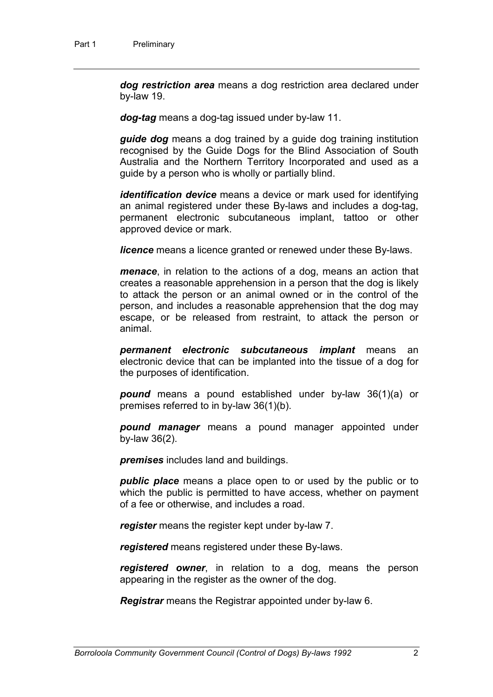*dog restriction area* means a dog restriction area declared under by-law 19.

*dog-tag* means a dog-tag issued under by-law 11.

*guide dog* means a dog trained by a guide dog training institution recognised by the Guide Dogs for the Blind Association of South Australia and the Northern Territory Incorporated and used as a guide by a person who is wholly or partially blind.

*identification device* means a device or mark used for identifying an animal registered under these By-laws and includes a dog-tag, permanent electronic subcutaneous implant, tattoo or other approved device or mark.

*licence* means a licence granted or renewed under these By-laws.

*menace*, in relation to the actions of a dog, means an action that creates a reasonable apprehension in a person that the dog is likely to attack the person or an animal owned or in the control of the person, and includes a reasonable apprehension that the dog may escape, or be released from restraint, to attack the person or animal.

*permanent electronic subcutaneous implant* means an electronic device that can be implanted into the tissue of a dog for the purposes of identification.

*pound* means a pound established under by-law 36(1)(a) or premises referred to in by-law 36(1)(b).

*pound manager* means a pound manager appointed under by-law 36(2).

*premises* includes land and buildings.

*public place* means a place open to or used by the public or to which the public is permitted to have access, whether on payment of a fee or otherwise, and includes a road.

*register* means the register kept under by-law 7.

*registered* means registered under these By-laws.

*registered owner*, in relation to a dog, means the person appearing in the register as the owner of the dog.

*Registrar* means the Registrar appointed under by-law 6.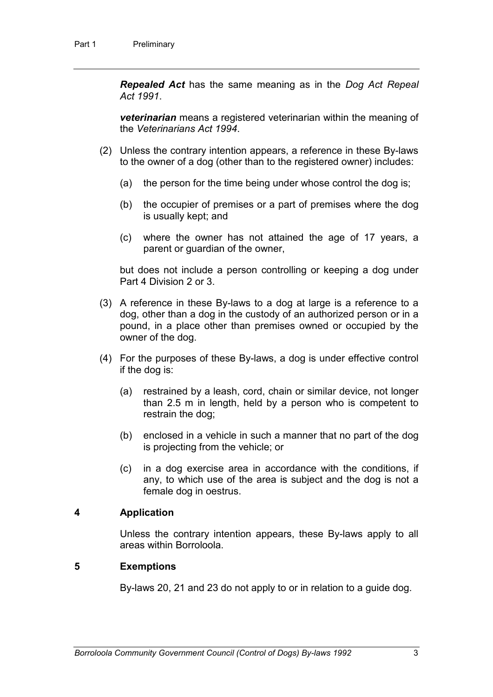*Repealed Act* has the same meaning as in the *Dog Act Repeal Act 1991*.

*veterinarian* means a registered veterinarian within the meaning of the *Veterinarians Act 1994*.

- (2) Unless the contrary intention appears, a reference in these By-laws to the owner of a dog (other than to the registered owner) includes:
	- (a) the person for the time being under whose control the dog is;
	- (b) the occupier of premises or a part of premises where the dog is usually kept; and
	- (c) where the owner has not attained the age of 17 years, a parent or guardian of the owner,

but does not include a person controlling or keeping a dog under Part 4 Division 2 or 3.

- (3) A reference in these By-laws to a dog at large is a reference to a dog, other than a dog in the custody of an authorized person or in a pound, in a place other than premises owned or occupied by the owner of the dog.
- (4) For the purposes of these By-laws, a dog is under effective control if the dog is:
	- (a) restrained by a leash, cord, chain or similar device, not longer than 2.5 m in length, held by a person who is competent to restrain the dog;
	- (b) enclosed in a vehicle in such a manner that no part of the dog is projecting from the vehicle; or
	- (c) in a dog exercise area in accordance with the conditions, if any, to which use of the area is subject and the dog is not a female dog in oestrus.

#### **4 Application**

Unless the contrary intention appears, these By-laws apply to all areas within Borroloola.

#### **5 Exemptions**

By-laws 20, 21 and 23 do not apply to or in relation to a guide dog.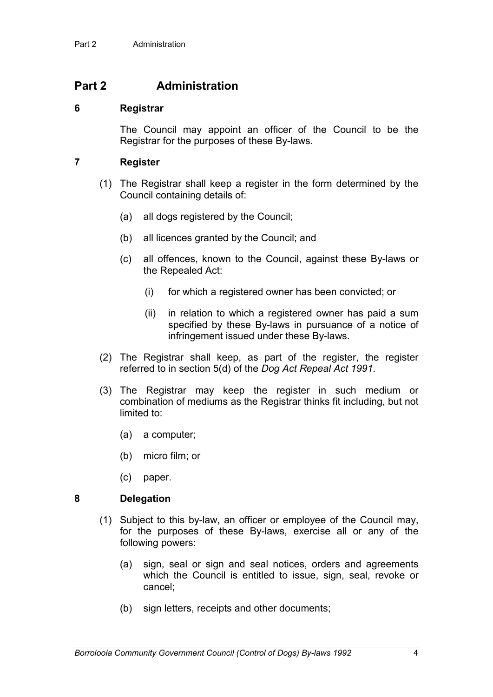## **Part 2 Administration**

#### **6 Registrar**

The Council may appoint an officer of the Council to be the Registrar for the purposes of these By-laws.

#### **7 Register**

- (1) The Registrar shall keep a register in the form determined by the Council containing details of:
	- (a) all dogs registered by the Council;
	- (b) all licences granted by the Council; and
	- (c) all offences, known to the Council, against these By-laws or the Repealed Act:
		- (i) for which a registered owner has been convicted; or
		- (ii) in relation to which a registered owner has paid a sum specified by these By-laws in pursuance of a notice of infringement issued under these By-laws.
- (2) The Registrar shall keep, as part of the register, the register referred to in section 5(d) of the *Dog Act Repeal Act 1991*.
- (3) The Registrar may keep the register in such medium or combination of mediums as the Registrar thinks fit including, but not limited to:
	- (a) a computer;
	- (b) micro film; or
	- (c) paper.

#### **8 Delegation**

- (1) Subject to this by-law, an officer or employee of the Council may, for the purposes of these By-laws, exercise all or any of the following powers:
	- (a) sign, seal or sign and seal notices, orders and agreements which the Council is entitled to issue, sign, seal, revoke or cancel;
	- (b) sign letters, receipts and other documents;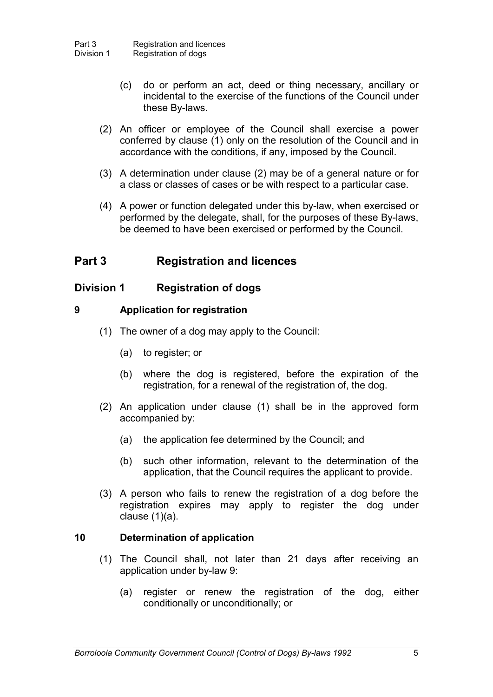- (c) do or perform an act, deed or thing necessary, ancillary or incidental to the exercise of the functions of the Council under these By-laws.
- (2) An officer or employee of the Council shall exercise a power conferred by clause (1) only on the resolution of the Council and in accordance with the conditions, if any, imposed by the Council.
- (3) A determination under clause (2) may be of a general nature or for a class or classes of cases or be with respect to a particular case.
- (4) A power or function delegated under this by-law, when exercised or performed by the delegate, shall, for the purposes of these By-laws, be deemed to have been exercised or performed by the Council.

## **Part 3 Registration and licences**

#### **Division 1 Registration of dogs**

#### **9 Application for registration**

- (1) The owner of a dog may apply to the Council:
	- (a) to register; or
	- (b) where the dog is registered, before the expiration of the registration, for a renewal of the registration of, the dog.
- (2) An application under clause (1) shall be in the approved form accompanied by:
	- (a) the application fee determined by the Council; and
	- (b) such other information, relevant to the determination of the application, that the Council requires the applicant to provide.
- (3) A person who fails to renew the registration of a dog before the registration expires may apply to register the dog under clause (1)(a).

#### **10 Determination of application**

- (1) The Council shall, not later than 21 days after receiving an application under by-law 9:
	- (a) register or renew the registration of the dog, either conditionally or unconditionally; or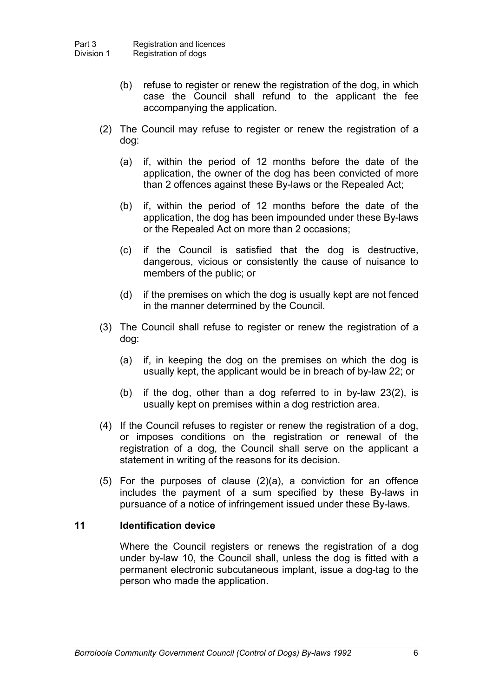- (b) refuse to register or renew the registration of the dog, in which case the Council shall refund to the applicant the fee accompanying the application.
- (2) The Council may refuse to register or renew the registration of a dog:
	- (a) if, within the period of 12 months before the date of the application, the owner of the dog has been convicted of more than 2 offences against these By-laws or the Repealed Act;
	- (b) if, within the period of 12 months before the date of the application, the dog has been impounded under these By-laws or the Repealed Act on more than 2 occasions;
	- (c) if the Council is satisfied that the dog is destructive, dangerous, vicious or consistently the cause of nuisance to members of the public; or
	- (d) if the premises on which the dog is usually kept are not fenced in the manner determined by the Council.
- (3) The Council shall refuse to register or renew the registration of a dog:
	- (a) if, in keeping the dog on the premises on which the dog is usually kept, the applicant would be in breach of by-law 22; or
	- (b) if the dog, other than a dog referred to in by-law 23(2), is usually kept on premises within a dog restriction area.
- (4) If the Council refuses to register or renew the registration of a dog, or imposes conditions on the registration or renewal of the registration of a dog, the Council shall serve on the applicant a statement in writing of the reasons for its decision.
- (5) For the purposes of clause (2)(a), a conviction for an offence includes the payment of a sum specified by these By-laws in pursuance of a notice of infringement issued under these By-laws.

#### **11 Identification device**

Where the Council registers or renews the registration of a dog under by-law 10, the Council shall, unless the dog is fitted with a permanent electronic subcutaneous implant, issue a dog-tag to the person who made the application.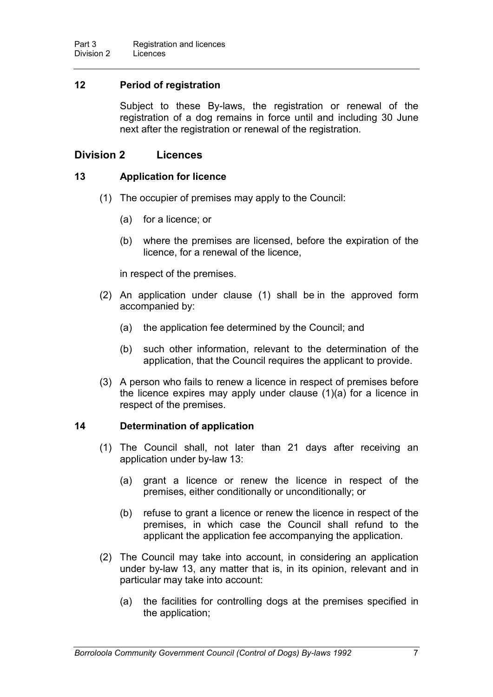#### **12 Period of registration**

Subject to these By-laws, the registration or renewal of the registration of a dog remains in force until and including 30 June next after the registration or renewal of the registration.

#### **Division 2 Licences**

#### **13 Application for licence**

- (1) The occupier of premises may apply to the Council:
	- (a) for a licence; or
	- (b) where the premises are licensed, before the expiration of the licence, for a renewal of the licence,

in respect of the premises.

- (2) An application under clause (1) shall be in the approved form accompanied by:
	- (a) the application fee determined by the Council; and
	- (b) such other information, relevant to the determination of the application, that the Council requires the applicant to provide.
- (3) A person who fails to renew a licence in respect of premises before the licence expires may apply under clause (1)(a) for a licence in respect of the premises.

#### **14 Determination of application**

- (1) The Council shall, not later than 21 days after receiving an application under by-law 13:
	- (a) grant a licence or renew the licence in respect of the premises, either conditionally or unconditionally; or
	- (b) refuse to grant a licence or renew the licence in respect of the premises, in which case the Council shall refund to the applicant the application fee accompanying the application.
- (2) The Council may take into account, in considering an application under by-law 13, any matter that is, in its opinion, relevant and in particular may take into account:
	- (a) the facilities for controlling dogs at the premises specified in the application;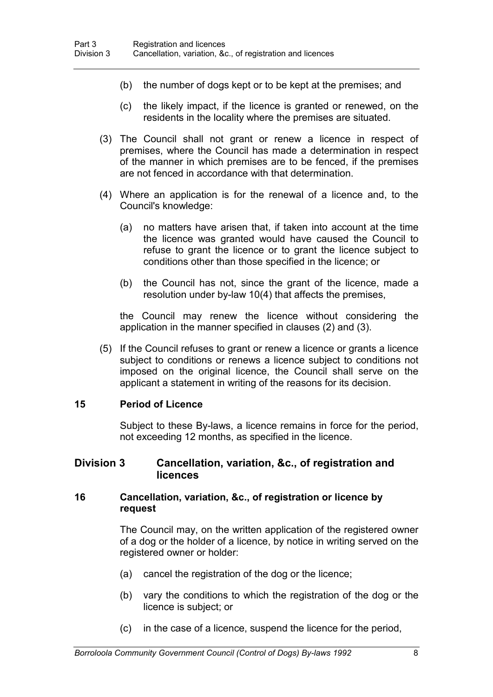- (b) the number of dogs kept or to be kept at the premises; and
- (c) the likely impact, if the licence is granted or renewed, on the residents in the locality where the premises are situated.
- (3) The Council shall not grant or renew a licence in respect of premises, where the Council has made a determination in respect of the manner in which premises are to be fenced, if the premises are not fenced in accordance with that determination.
- (4) Where an application is for the renewal of a licence and, to the Council's knowledge:
	- (a) no matters have arisen that, if taken into account at the time the licence was granted would have caused the Council to refuse to grant the licence or to grant the licence subject to conditions other than those specified in the licence; or
	- (b) the Council has not, since the grant of the licence, made a resolution under by-law 10(4) that affects the premises,

the Council may renew the licence without considering the application in the manner specified in clauses (2) and (3).

(5) If the Council refuses to grant or renew a licence or grants a licence subject to conditions or renews a licence subject to conditions not imposed on the original licence, the Council shall serve on the applicant a statement in writing of the reasons for its decision.

#### **15 Period of Licence**

Subject to these By-laws, a licence remains in force for the period, not exceeding 12 months, as specified in the licence.

#### **Division 3 Cancellation, variation, &c., of registration and licences**

#### **16 Cancellation, variation, &c., of registration or licence by request**

The Council may, on the written application of the registered owner of a dog or the holder of a licence, by notice in writing served on the registered owner or holder:

- (a) cancel the registration of the dog or the licence;
- (b) vary the conditions to which the registration of the dog or the licence is subject; or
- (c) in the case of a licence, suspend the licence for the period,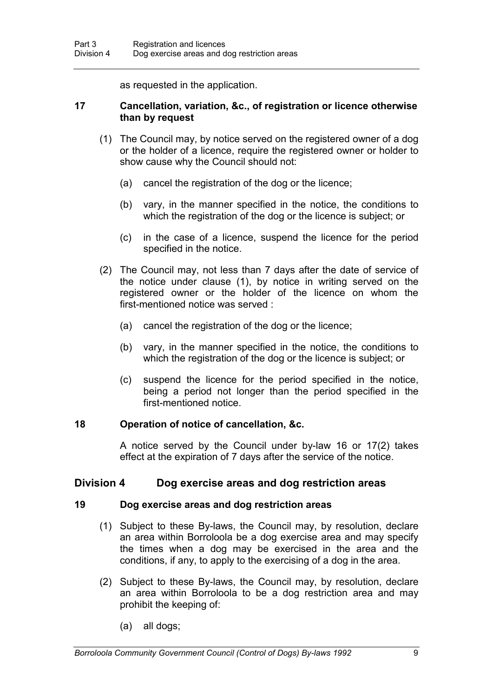as requested in the application.

#### **17 Cancellation, variation, &c., of registration or licence otherwise than by request**

- (1) The Council may, by notice served on the registered owner of a dog or the holder of a licence, require the registered owner or holder to show cause why the Council should not:
	- (a) cancel the registration of the dog or the licence;
	- (b) vary, in the manner specified in the notice, the conditions to which the registration of the dog or the licence is subject; or
	- (c) in the case of a licence, suspend the licence for the period specified in the notice.
- (2) The Council may, not less than 7 days after the date of service of the notice under clause (1), by notice in writing served on the registered owner or the holder of the licence on whom the first-mentioned notice was served :
	- (a) cancel the registration of the dog or the licence;
	- (b) vary, in the manner specified in the notice, the conditions to which the registration of the dog or the licence is subject; or
	- (c) suspend the licence for the period specified in the notice, being a period not longer than the period specified in the first-mentioned notice.

#### **18 Operation of notice of cancellation, &c.**

A notice served by the Council under by-law 16 or 17(2) takes effect at the expiration of 7 days after the service of the notice.

#### **Division 4 Dog exercise areas and dog restriction areas**

#### **19 Dog exercise areas and dog restriction areas**

- (1) Subject to these By-laws, the Council may, by resolution, declare an area within Borroloola be a dog exercise area and may specify the times when a dog may be exercised in the area and the conditions, if any, to apply to the exercising of a dog in the area.
- (2) Subject to these By-laws, the Council may, by resolution, declare an area within Borroloola to be a dog restriction area and may prohibit the keeping of:
	- (a) all dogs;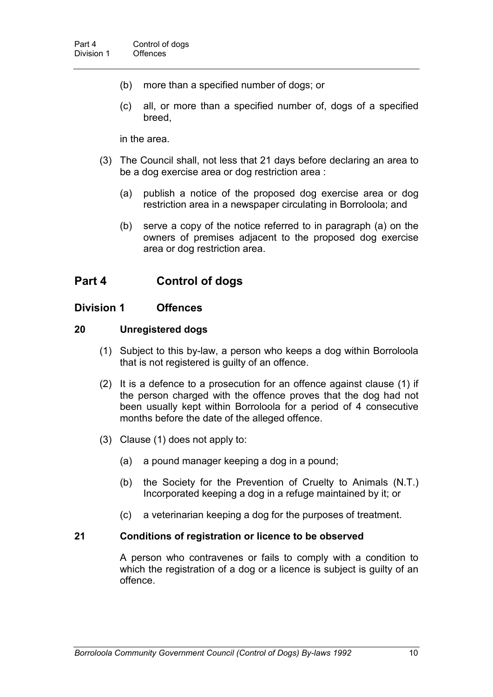- (b) more than a specified number of dogs; or
- (c) all, or more than a specified number of, dogs of a specified breed,

in the area.

- (3) The Council shall, not less that 21 days before declaring an area to be a dog exercise area or dog restriction area :
	- (a) publish a notice of the proposed dog exercise area or dog restriction area in a newspaper circulating in Borroloola; and
	- (b) serve a copy of the notice referred to in paragraph (a) on the owners of premises adjacent to the proposed dog exercise area or dog restriction area.

### **Part 4 Control of dogs**

#### **Division 1 Offences**

#### **20 Unregistered dogs**

- (1) Subject to this by-law, a person who keeps a dog within Borroloola that is not registered is guilty of an offence.
- (2) It is a defence to a prosecution for an offence against clause (1) if the person charged with the offence proves that the dog had not been usually kept within Borroloola for a period of 4 consecutive months before the date of the alleged offence.
- (3) Clause (1) does not apply to:
	- (a) a pound manager keeping a dog in a pound;
	- (b) the Society for the Prevention of Cruelty to Animals (N.T.) Incorporated keeping a dog in a refuge maintained by it; or
	- (c) a veterinarian keeping a dog for the purposes of treatment.

#### **21 Conditions of registration or licence to be observed**

A person who contravenes or fails to comply with a condition to which the registration of a dog or a licence is subject is guilty of an offence.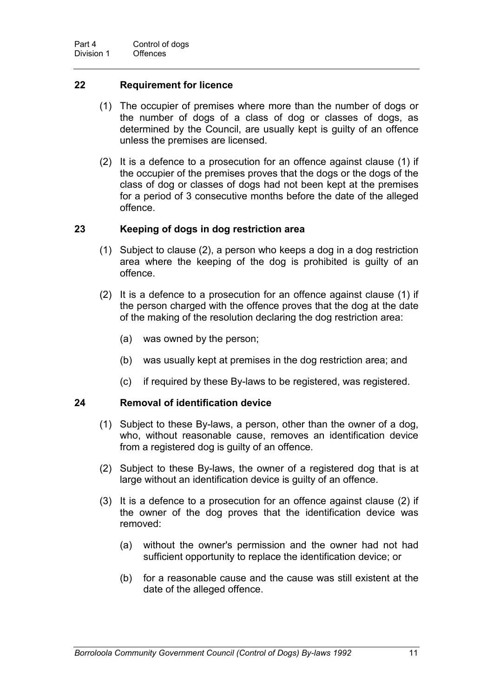#### **22 Requirement for licence**

- (1) The occupier of premises where more than the number of dogs or the number of dogs of a class of dog or classes of dogs, as determined by the Council, are usually kept is guilty of an offence unless the premises are licensed.
- (2) It is a defence to a prosecution for an offence against clause (1) if the occupier of the premises proves that the dogs or the dogs of the class of dog or classes of dogs had not been kept at the premises for a period of 3 consecutive months before the date of the alleged offence.

#### **23 Keeping of dogs in dog restriction area**

- (1) Subject to clause (2), a person who keeps a dog in a dog restriction area where the keeping of the dog is prohibited is guilty of an offence.
- (2) It is a defence to a prosecution for an offence against clause (1) if the person charged with the offence proves that the dog at the date of the making of the resolution declaring the dog restriction area:
	- (a) was owned by the person;
	- (b) was usually kept at premises in the dog restriction area; and
	- (c) if required by these By-laws to be registered, was registered.

#### **24 Removal of identification device**

- (1) Subject to these By-laws, a person, other than the owner of a dog, who, without reasonable cause, removes an identification device from a registered dog is guilty of an offence.
- (2) Subject to these By-laws, the owner of a registered dog that is at large without an identification device is guilty of an offence.
- (3) It is a defence to a prosecution for an offence against clause (2) if the owner of the dog proves that the identification device was removed:
	- (a) without the owner's permission and the owner had not had sufficient opportunity to replace the identification device; or
	- (b) for a reasonable cause and the cause was still existent at the date of the alleged offence.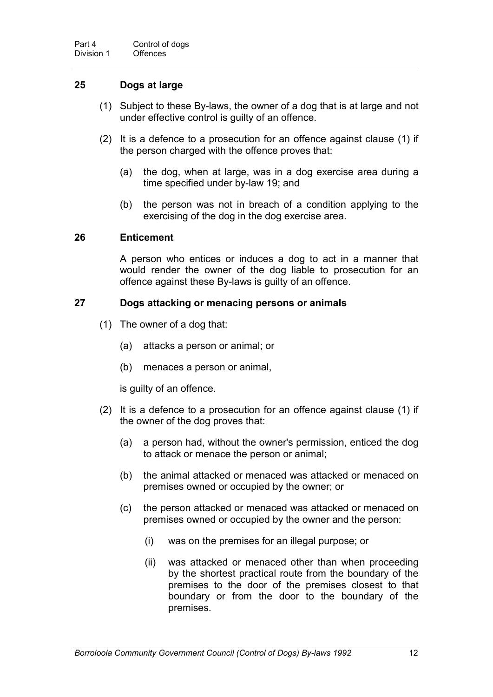#### **25 Dogs at large**

- (1) Subject to these By-laws, the owner of a dog that is at large and not under effective control is guilty of an offence.
- (2) It is a defence to a prosecution for an offence against clause (1) if the person charged with the offence proves that:
	- (a) the dog, when at large, was in a dog exercise area during a time specified under by-law 19; and
	- (b) the person was not in breach of a condition applying to the exercising of the dog in the dog exercise area.

#### **26 Enticement**

A person who entices or induces a dog to act in a manner that would render the owner of the dog liable to prosecution for an offence against these By-laws is guilty of an offence.

#### **27 Dogs attacking or menacing persons or animals**

- (1) The owner of a dog that:
	- (a) attacks a person or animal; or
	- (b) menaces a person or animal,

is guilty of an offence.

- (2) It is a defence to a prosecution for an offence against clause (1) if the owner of the dog proves that:
	- (a) a person had, without the owner's permission, enticed the dog to attack or menace the person or animal;
	- (b) the animal attacked or menaced was attacked or menaced on premises owned or occupied by the owner; or
	- (c) the person attacked or menaced was attacked or menaced on premises owned or occupied by the owner and the person:
		- (i) was on the premises for an illegal purpose; or
		- (ii) was attacked or menaced other than when proceeding by the shortest practical route from the boundary of the premises to the door of the premises closest to that boundary or from the door to the boundary of the premises.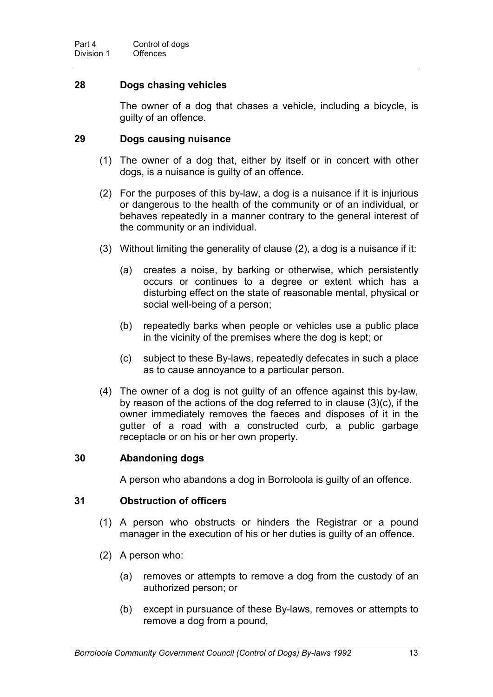#### **28 Dogs chasing vehicles**

The owner of a dog that chases a vehicle, including a bicycle, is guilty of an offence.

#### **29 Dogs causing nuisance**

- (1) The owner of a dog that, either by itself or in concert with other dogs, is a nuisance is guilty of an offence.
- (2) For the purposes of this by-law, a dog is a nuisance if it is injurious or dangerous to the health of the community or of an individual, or behaves repeatedly in a manner contrary to the general interest of the community or an individual.
- (3) Without limiting the generality of clause (2), a dog is a nuisance if it:
	- (a) creates a noise, by barking or otherwise, which persistently occurs or continues to a degree or extent which has a disturbing effect on the state of reasonable mental, physical or social well-being of a person;
	- (b) repeatedly barks when people or vehicles use a public place in the vicinity of the premises where the dog is kept; or
	- (c) subject to these By-laws, repeatedly defecates in such a place as to cause annoyance to a particular person.
- (4) The owner of a dog is not guilty of an offence against this by-law, by reason of the actions of the dog referred to in clause (3)(c), if the owner immediately removes the faeces and disposes of it in the gutter of a road with a constructed curb, a public garbage receptacle or on his or her own property.

#### **30 Abandoning dogs**

A person who abandons a dog in Borroloola is guilty of an offence.

#### **31 Obstruction of officers**

- (1) A person who obstructs or hinders the Registrar or a pound manager in the execution of his or her duties is guilty of an offence.
- (2) A person who:
	- (a) removes or attempts to remove a dog from the custody of an authorized person; or
	- (b) except in pursuance of these By-laws, removes or attempts to remove a dog from a pound,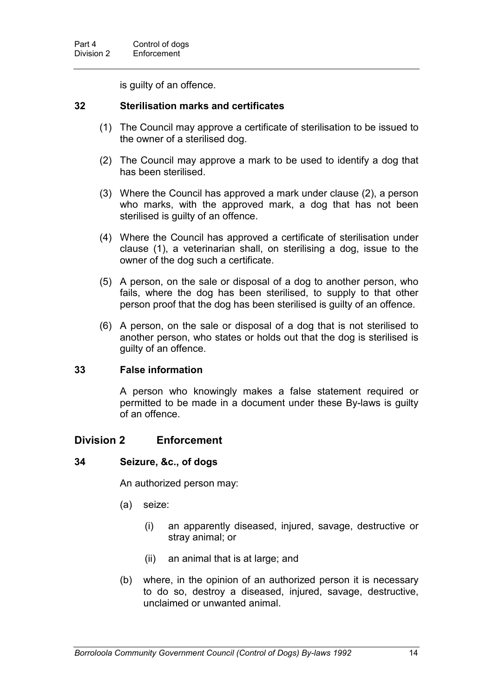is guilty of an offence.

#### **32 Sterilisation marks and certificates**

- (1) The Council may approve a certificate of sterilisation to be issued to the owner of a sterilised dog.
- (2) The Council may approve a mark to be used to identify a dog that has been sterilised.
- (3) Where the Council has approved a mark under clause (2), a person who marks, with the approved mark, a dog that has not been sterilised is guilty of an offence.
- (4) Where the Council has approved a certificate of sterilisation under clause (1), a veterinarian shall, on sterilising a dog, issue to the owner of the dog such a certificate.
- (5) A person, on the sale or disposal of a dog to another person, who fails, where the dog has been sterilised, to supply to that other person proof that the dog has been sterilised is guilty of an offence.
- (6) A person, on the sale or disposal of a dog that is not sterilised to another person, who states or holds out that the dog is sterilised is guilty of an offence.

#### **33 False information**

A person who knowingly makes a false statement required or permitted to be made in a document under these By-laws is guilty of an offence.

#### **Division 2 Enforcement**

#### **34 Seizure, &c., of dogs**

An authorized person may:

- (a) seize:
	- (i) an apparently diseased, injured, savage, destructive or stray animal; or
	- (ii) an animal that is at large; and
- (b) where, in the opinion of an authorized person it is necessary to do so, destroy a diseased, injured, savage, destructive, unclaimed or unwanted animal.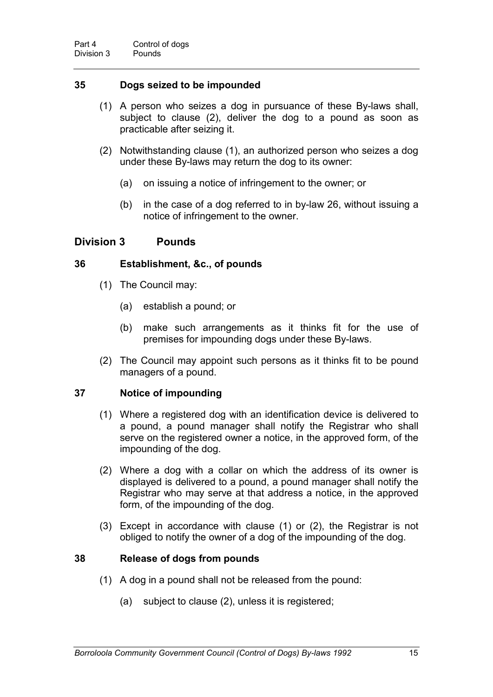#### **35 Dogs seized to be impounded**

- (1) A person who seizes a dog in pursuance of these By-laws shall, subject to clause (2), deliver the dog to a pound as soon as practicable after seizing it.
- (2) Notwithstanding clause (1), an authorized person who seizes a dog under these By-laws may return the dog to its owner:
	- (a) on issuing a notice of infringement to the owner; or
	- (b) in the case of a dog referred to in by-law 26, without issuing a notice of infringement to the owner.

#### **Division 3 Pounds**

#### **36 Establishment, &c., of pounds**

- (1) The Council may:
	- (a) establish a pound; or
	- (b) make such arrangements as it thinks fit for the use of premises for impounding dogs under these By-laws.
- (2) The Council may appoint such persons as it thinks fit to be pound managers of a pound.

#### **37 Notice of impounding**

- (1) Where a registered dog with an identification device is delivered to a pound, a pound manager shall notify the Registrar who shall serve on the registered owner a notice, in the approved form, of the impounding of the dog.
- (2) Where a dog with a collar on which the address of its owner is displayed is delivered to a pound, a pound manager shall notify the Registrar who may serve at that address a notice, in the approved form, of the impounding of the dog.
- (3) Except in accordance with clause (1) or (2), the Registrar is not obliged to notify the owner of a dog of the impounding of the dog.

#### **38 Release of dogs from pounds**

- (1) A dog in a pound shall not be released from the pound:
	- (a) subject to clause (2), unless it is registered;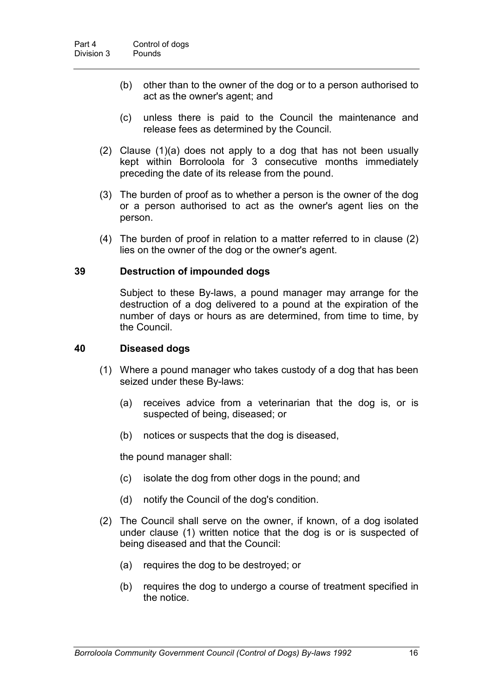- (b) other than to the owner of the dog or to a person authorised to act as the owner's agent; and
- (c) unless there is paid to the Council the maintenance and release fees as determined by the Council.
- (2) Clause (1)(a) does not apply to a dog that has not been usually kept within Borroloola for 3 consecutive months immediately preceding the date of its release from the pound.
- (3) The burden of proof as to whether a person is the owner of the dog or a person authorised to act as the owner's agent lies on the person.
- (4) The burden of proof in relation to a matter referred to in clause (2) lies on the owner of the dog or the owner's agent.

#### **39 Destruction of impounded dogs**

Subject to these By-laws, a pound manager may arrange for the destruction of a dog delivered to a pound at the expiration of the number of days or hours as are determined, from time to time, by the Council.

#### **40 Diseased dogs**

- (1) Where a pound manager who takes custody of a dog that has been seized under these By-laws:
	- (a) receives advice from a veterinarian that the dog is, or is suspected of being, diseased; or
	- (b) notices or suspects that the dog is diseased,

the pound manager shall:

- (c) isolate the dog from other dogs in the pound; and
- (d) notify the Council of the dog's condition.
- (2) The Council shall serve on the owner, if known, of a dog isolated under clause (1) written notice that the dog is or is suspected of being diseased and that the Council:
	- (a) requires the dog to be destroyed; or
	- (b) requires the dog to undergo a course of treatment specified in the notice.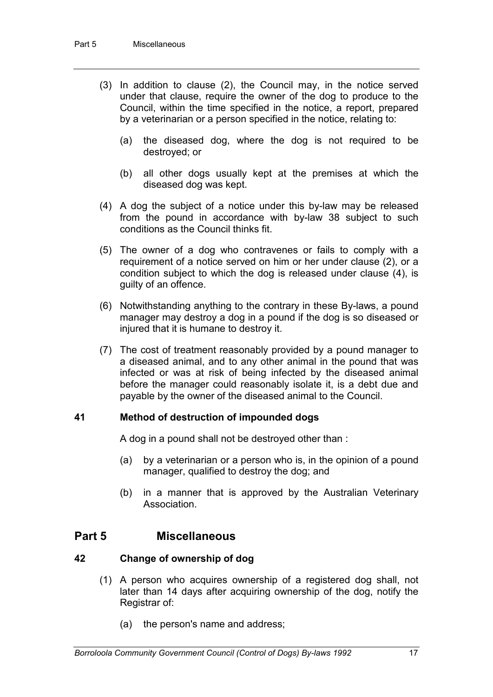- (3) In addition to clause (2), the Council may, in the notice served under that clause, require the owner of the dog to produce to the Council, within the time specified in the notice, a report, prepared by a veterinarian or a person specified in the notice, relating to:
	- (a) the diseased dog, where the dog is not required to be destroyed; or
	- (b) all other dogs usually kept at the premises at which the diseased dog was kept.
- (4) A dog the subject of a notice under this by-law may be released from the pound in accordance with by-law 38 subject to such conditions as the Council thinks fit.
- (5) The owner of a dog who contravenes or fails to comply with a requirement of a notice served on him or her under clause (2), or a condition subject to which the dog is released under clause (4), is guilty of an offence.
- (6) Notwithstanding anything to the contrary in these By-laws, a pound manager may destroy a dog in a pound if the dog is so diseased or injured that it is humane to destroy it.
- (7) The cost of treatment reasonably provided by a pound manager to a diseased animal, and to any other animal in the pound that was infected or was at risk of being infected by the diseased animal before the manager could reasonably isolate it, is a debt due and payable by the owner of the diseased animal to the Council.

#### **41 Method of destruction of impounded dogs**

A dog in a pound shall not be destroyed other than :

- (a) by a veterinarian or a person who is, in the opinion of a pound manager, qualified to destroy the dog; and
- (b) in a manner that is approved by the Australian Veterinary Association.

#### **Part 5 Miscellaneous**

#### **42 Change of ownership of dog**

- (1) A person who acquires ownership of a registered dog shall, not later than 14 days after acquiring ownership of the dog, notify the Registrar of:
	- (a) the person's name and address;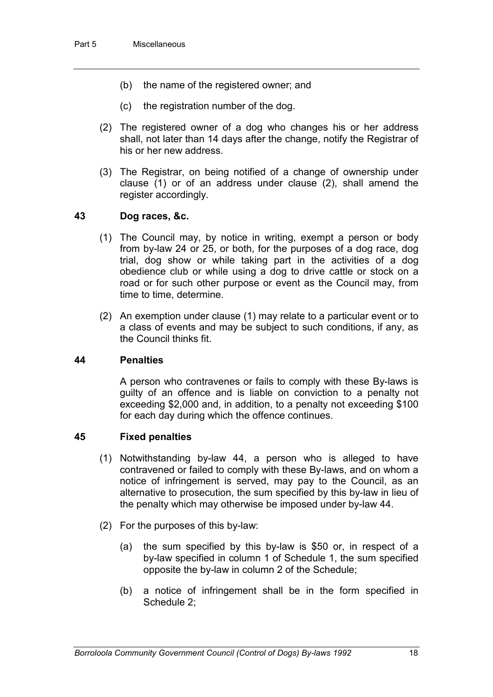- (b) the name of the registered owner; and
- (c) the registration number of the dog.
- (2) The registered owner of a dog who changes his or her address shall, not later than 14 days after the change, notify the Registrar of his or her new address.
- (3) The Registrar, on being notified of a change of ownership under clause (1) or of an address under clause (2), shall amend the register accordingly.

#### **43 Dog races, &c.**

- (1) The Council may, by notice in writing, exempt a person or body from by-law 24 or 25, or both, for the purposes of a dog race, dog trial, dog show or while taking part in the activities of a dog obedience club or while using a dog to drive cattle or stock on a road or for such other purpose or event as the Council may, from time to time, determine.
- (2) An exemption under clause (1) may relate to a particular event or to a class of events and may be subject to such conditions, if any, as the Council thinks fit.

#### **44 Penalties**

A person who contravenes or fails to comply with these By-laws is guilty of an offence and is liable on conviction to a penalty not exceeding \$2,000 and, in addition, to a penalty not exceeding \$100 for each day during which the offence continues.

#### **45 Fixed penalties**

- (1) Notwithstanding by-law 44, a person who is alleged to have contravened or failed to comply with these By-laws, and on whom a notice of infringement is served, may pay to the Council, as an alternative to prosecution, the sum specified by this by-law in lieu of the penalty which may otherwise be imposed under by-law 44.
- (2) For the purposes of this by-law:
	- (a) the sum specified by this by-law is \$50 or, in respect of a by-law specified in column 1 of Schedule 1, the sum specified opposite the by-law in column 2 of the Schedule;
	- (b) a notice of infringement shall be in the form specified in Schedule 2;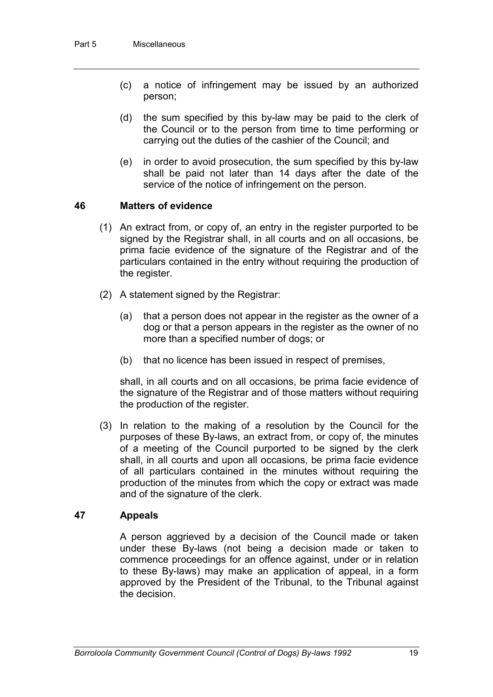- (c) a notice of infringement may be issued by an authorized person;
- (d) the sum specified by this by-law may be paid to the clerk of the Council or to the person from time to time performing or carrying out the duties of the cashier of the Council; and
- (e) in order to avoid prosecution, the sum specified by this by-law shall be paid not later than 14 days after the date of the service of the notice of infringement on the person.

#### **46 Matters of evidence**

- (1) An extract from, or copy of, an entry in the register purported to be signed by the Registrar shall, in all courts and on all occasions, be prima facie evidence of the signature of the Registrar and of the particulars contained in the entry without requiring the production of the register.
- (2) A statement signed by the Registrar:
	- (a) that a person does not appear in the register as the owner of a dog or that a person appears in the register as the owner of no more than a specified number of dogs; or
	- (b) that no licence has been issued in respect of premises,

shall, in all courts and on all occasions, be prima facie evidence of the signature of the Registrar and of those matters without requiring the production of the register.

(3) In relation to the making of a resolution by the Council for the purposes of these By-laws, an extract from, or copy of, the minutes of a meeting of the Council purported to be signed by the clerk shall, in all courts and upon all occasions, be prima facie evidence of all particulars contained in the minutes without requiring the production of the minutes from which the copy or extract was made and of the signature of the clerk.

#### **47 Appeals**

A person aggrieved by a decision of the Council made or taken under these By-laws (not being a decision made or taken to commence proceedings for an offence against, under or in relation to these By-laws) may make an application of appeal, in a form approved by the President of the Tribunal, to the Tribunal against the decision.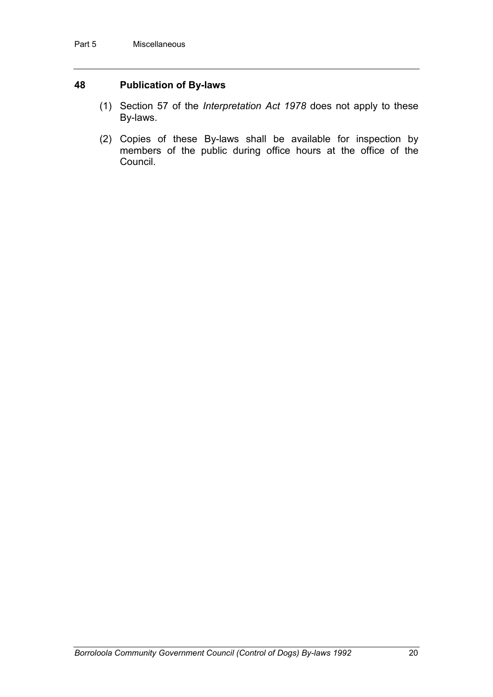#### **48 Publication of By-laws**

- (1) Section 57 of the *Interpretation Act 1978* does not apply to these By-laws.
- (2) Copies of these By-laws shall be available for inspection by members of the public during office hours at the office of the Council.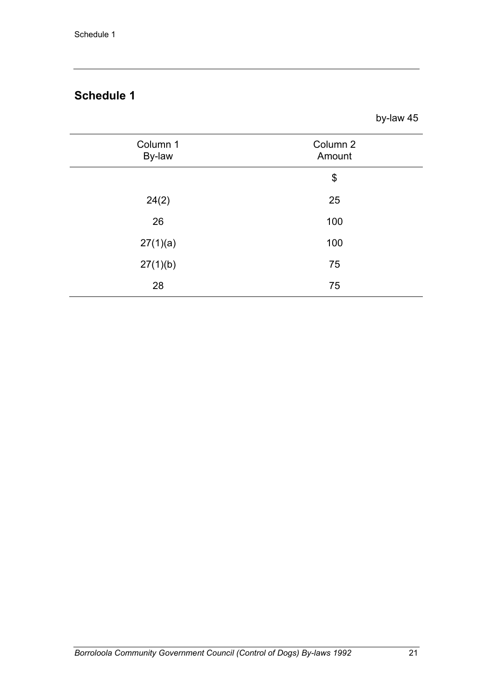## **Schedule 1**

by-law 45

| Column 1<br>By-law | Column 2<br>Amount |
|--------------------|--------------------|
|                    | \$                 |
| 24(2)              | 25                 |
| 26                 | 100                |
| 27(1)(a)           | 100                |
| 27(1)(b)           | 75                 |
| 28                 | 75                 |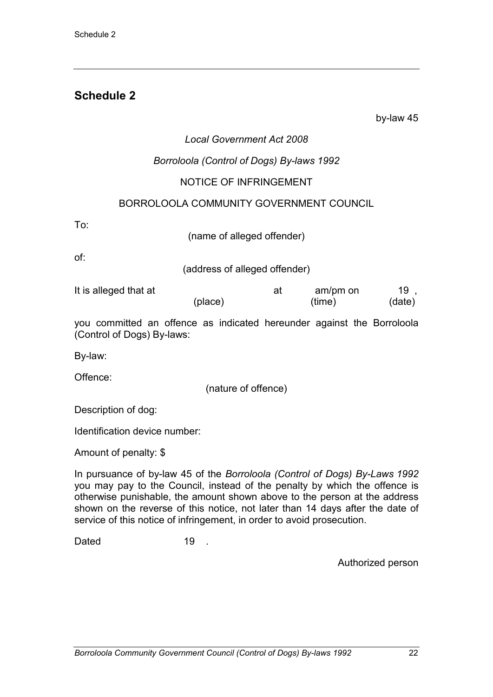## **Schedule 2**

by-law 45

#### *Local Government Act 2008*

#### *Borroloola (Control of Dogs) By-laws 1992*

#### NOTICE OF INFRINGEMENT

#### BORROLOOLA COMMUNITY GOVERNMENT COUNCIL

To:

(name of alleged offender)

of:

(address of alleged offender)

| It is alleged that at |         | am/pm on | <b>Contract</b> |  |
|-----------------------|---------|----------|-----------------|--|
|                       | (place) | (time)   | (date)          |  |

you committed an offence as indicated hereunder against the Borroloola (Control of Dogs) By-laws:

By-law:

Offence:

(nature of offence)

Description of dog:

Identification device number:

Amount of penalty: \$

In pursuance of by-law 45 of the *Borroloola (Control of Dogs) By-Laws 1992* you may pay to the Council, instead of the penalty by which the offence is otherwise punishable, the amount shown above to the person at the address shown on the reverse of this notice, not later than 14 days after the date of service of this notice of infringement, in order to avoid prosecution.

Dated 19 .

Authorized person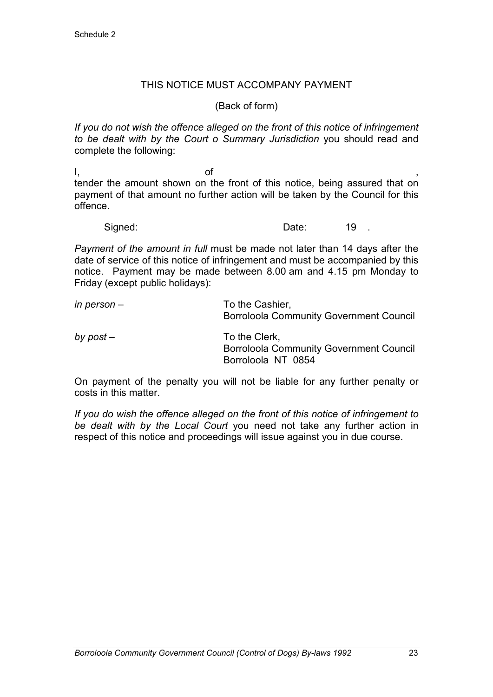#### THIS NOTICE MUST ACCOMPANY PAYMENT

(Back of form)

*If you do not wish the offence alleged on the front of this notice of infringement to be dealt with by the Court o Summary Jurisdiction* you should read and complete the following:

l, and the of the state of  $\mathcal{O}_1$  ,  $\mathcal{O}_2$  , and  $\mathcal{O}_3$  , and  $\mathcal{O}_4$  , and  $\mathcal{O}_5$  , and  $\mathcal{O}_7$  , and  $\mathcal{O}_8$  , and  $\mathcal{O}_9$  , and  $\mathcal{O}_9$  , and  $\mathcal{O}_9$  , and  $\mathcal{O}_9$  , and  $\mathcal{O}_9$  , and  $\mathcal{O}_$ tender the amount shown on the front of this notice, being assured that on payment of that amount no further action will be taken by the Council for this offence.

Signed: Signed: 19 .

*Payment of the amount in full* must be made not later than 14 days after the date of service of this notice of infringement and must be accompanied by this notice. Payment may be made between 8.00 am and 4.15 pm Monday to Friday (except public holidays):

| in person $-$ | To the Cashier,<br><b>Borroloola Community Government Council</b>                     |
|---------------|---------------------------------------------------------------------------------------|
| by $post -$   | To the Clerk,<br><b>Borroloola Community Government Council</b><br>Borroloola NT 0854 |

On payment of the penalty you will not be liable for any further penalty or costs in this matter.

*If you do wish the offence alleged on the front of this notice of infringement to be dealt with by the Local Court* you need not take any further action in respect of this notice and proceedings will issue against you in due course.